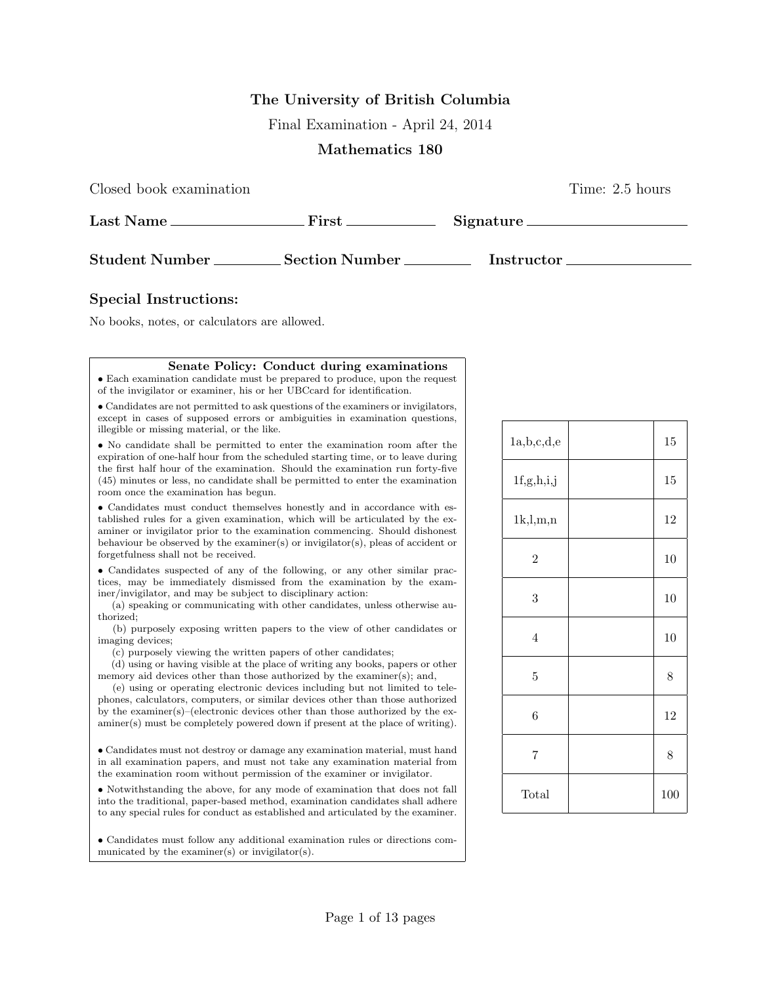## **The University of British Columbia**

Final Examination - April 24, 2014

## **Mathematics 180**

Closed book examination Time: 2.5 hours

| Last Name.            | First          | Signature. |
|-----------------------|----------------|------------|
| <b>Student Number</b> | Section Number | Instructor |

## **Special Instructions:**

No books, notes, or calculators are allowed.

## **Senate Policy: Conduct during examinations**

*•* Each examination candidate must be prepared to produce, upon the request of the invigilator or examiner, his or her UBCcard for identification.

*•* Candidates are not permitted to ask questions of the examiners or invigilators, except in cases of supposed errors or ambiguities in examination questions, illegible or missing material, or the like.

*•* No candidate shall be permitted to enter the examination room after the expiration of one-half hour from the scheduled starting time, or to leave during the first half hour of the examination. Should the examination run forty-five (45) minutes or less, no candidate shall be permitted to enter the examination room once the examination has begun.

*•* Candidates must conduct themselves honestly and in accordance with established rules for a given examination, which will be articulated by the examiner or invigilator prior to the examination commencing. Should dishonest behaviour be observed by the examiner(s) or invigilator(s), pleas of accident or forgetfulness shall not be received.

*•* Candidates suspected of any of the following, or any other similar practices, may be immediately dismissed from the examination by the examiner/invigilator, and may be subject to disciplinary action:

(a) speaking or communicating with other candidates, unless otherwise authorized;

(b) purposely exposing written papers to the view of other candidates or imaging devices;

(c) purposely viewing the written papers of other candidates;

(d) using or having visible at the place of writing any books, papers or other memory aid devices other than those authorized by the examiner(s); and,

(e) using or operating electronic devices including but not limited to telephones, calculators, computers, or similar devices other than those authorized by the examiner(s)–(electronic devices other than those authorized by the examiner(s) must be completely powered down if present at the place of writing).

*•* Candidates must not destroy or damage any examination material, must hand in all examination papers, and must not take any examination material from the examination room without permission of the examiner or invigilator.

*•* Notwithstanding the above, for any mode of examination that does not fall into the traditional, paper-based method, examination candidates shall adhere to any special rules for conduct as established and articulated by the examiner.

*•* Candidates must follow any additional examination rules or directions communicated by the examiner(s) or invigilator(s).

| 1a,b,c,d,e     | 15    |
|----------------|-------|
| 1f,g,h,i,j     | 15    |
| 1k, l, m, n    | 12    |
| $\overline{2}$ | 10    |
| 3              | 10    |
| $\overline{4}$ | 10    |
| $\overline{5}$ | $8\,$ |
| 6              | 12    |
| 7              | 8     |
| Total          | 100   |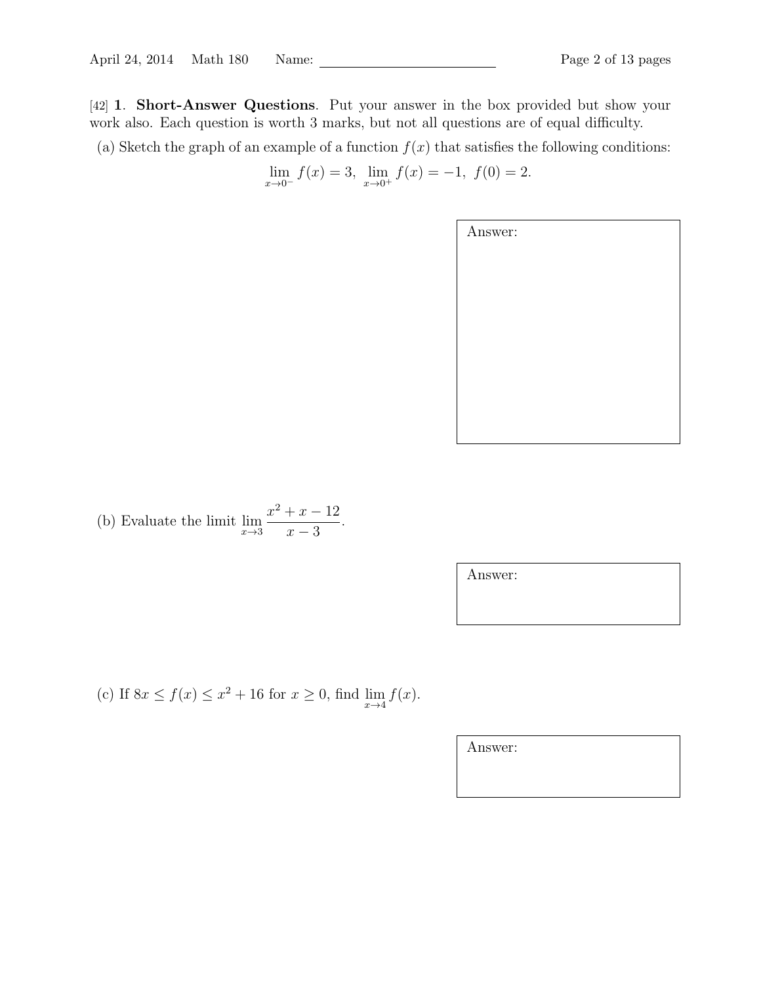[42] **1**. **Short-Answer Questions**. Put your answer in the box provided but show your work also. Each question is worth 3 marks, but not all questions are of equal difficulty.

(a) Sketch the graph of an example of a function  $f(x)$  that satisfies the following conditions:

$$
\lim_{x \to 0^{-}} f(x) = 3, \lim_{x \to 0^{+}} f(x) = -1, f(0) = 2.
$$

| Answer: |  |  |
|---------|--|--|
|         |  |  |
|         |  |  |
|         |  |  |
|         |  |  |
|         |  |  |
|         |  |  |
|         |  |  |

(b) Evaluate the limit 
$$
\lim_{x \to 3} \frac{x^2 + x - 12}{x - 3}
$$
.

Answer:

(c) If  $8x \le f(x) \le x^2 + 16$  for  $x \ge 0$ , find  $\lim_{x \to 4} f(x)$ .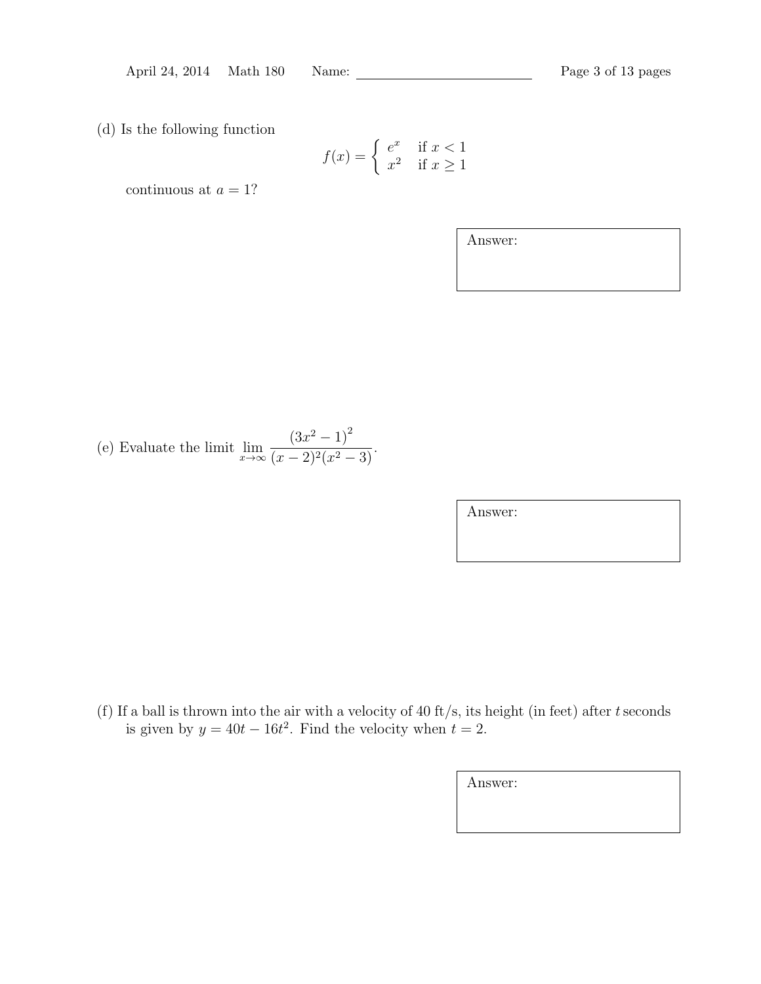(d) Is the following function

$$
f(x) = \begin{cases} e^x & \text{if } x < 1\\ x^2 & \text{if } x \ge 1 \end{cases}
$$

continuous at  $a = 1$ ?

Answer:

(e) Evaluate the limit lim*<sup>x</sup>→∞*  $(3x^2 - 1)^2$  $\frac{(3x-1)}{(x-2)^2(x^2-3)}$ .

Answer:

(f) If a ball is thrown into the air with a velocity of 40 ft/s, its height (in feet) after *t*seconds is given by  $y = 40t - 16t^2$ . Find the velocity when  $t = 2$ .

| Answer: |  |  |
|---------|--|--|
|         |  |  |
|         |  |  |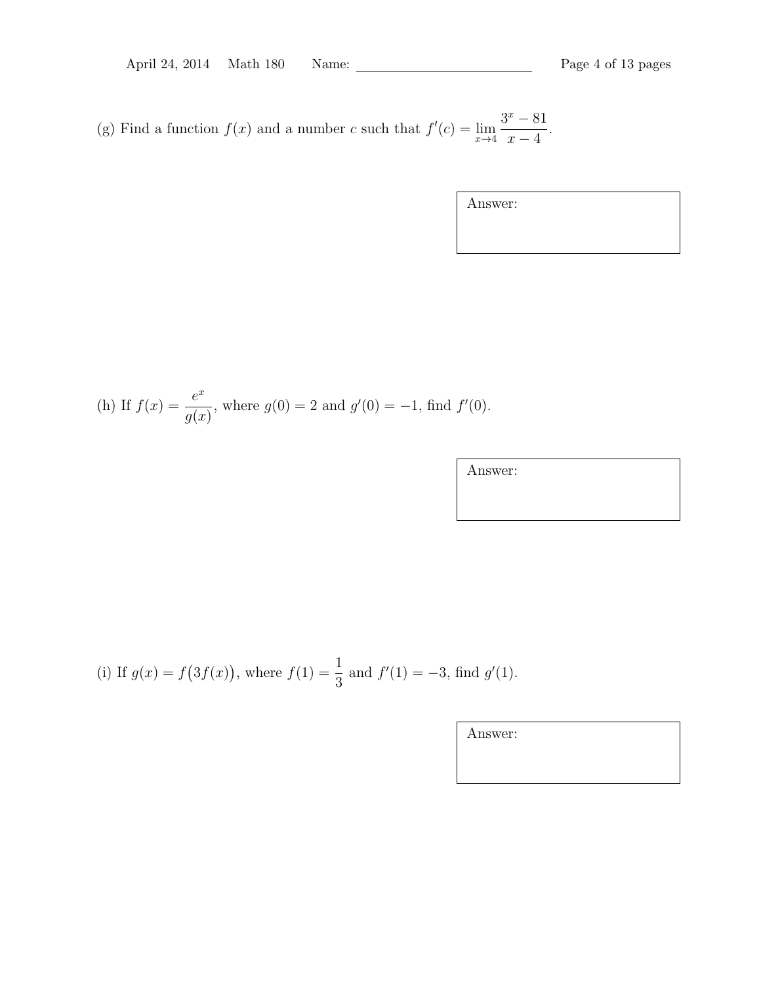(g) Find a function  $f(x)$  and a number *c* such that  $f'(c) = \lim_{x \to 4} f'(c)$ 3 *<sup>x</sup> <sup>−</sup>* <sup>81</sup> *x −* 4 .

(h) If 
$$
f(x) = \frac{e^x}{g(x)}
$$
, where  $g(0) = 2$  and  $g'(0) = -1$ , find  $f'(0)$ .

Answer:

(i) If 
$$
g(x) = f(3f(x))
$$
, where  $f(1) = \frac{1}{3}$  and  $f'(1) = -3$ , find  $g'(1)$ .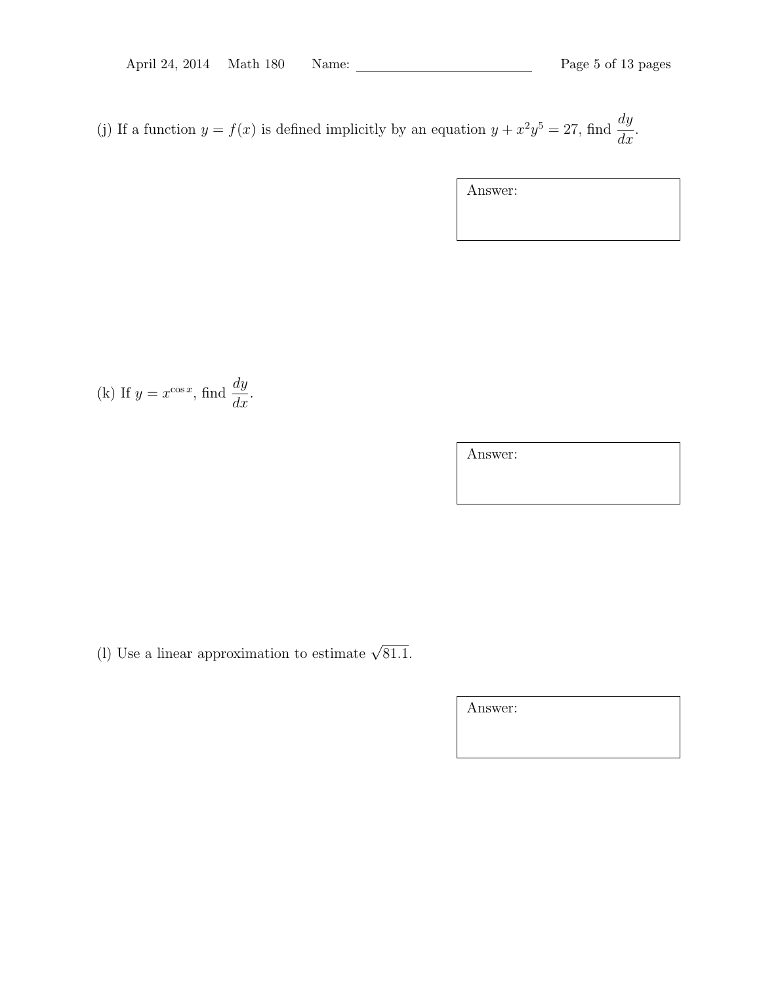(j) If a function  $y = f(x)$  is defined implicitly by an equation  $y + x^2y^5 = 27$ , find  $\frac{dy}{dx}$  $\frac{dy}{dx}$ .

Answer:

(k) If 
$$
y = x^{\cos x}
$$
, find  $\frac{dy}{dx}$ .

Answer:

(l) Use a linear approximation to estimate  $\sqrt{81.1}$ .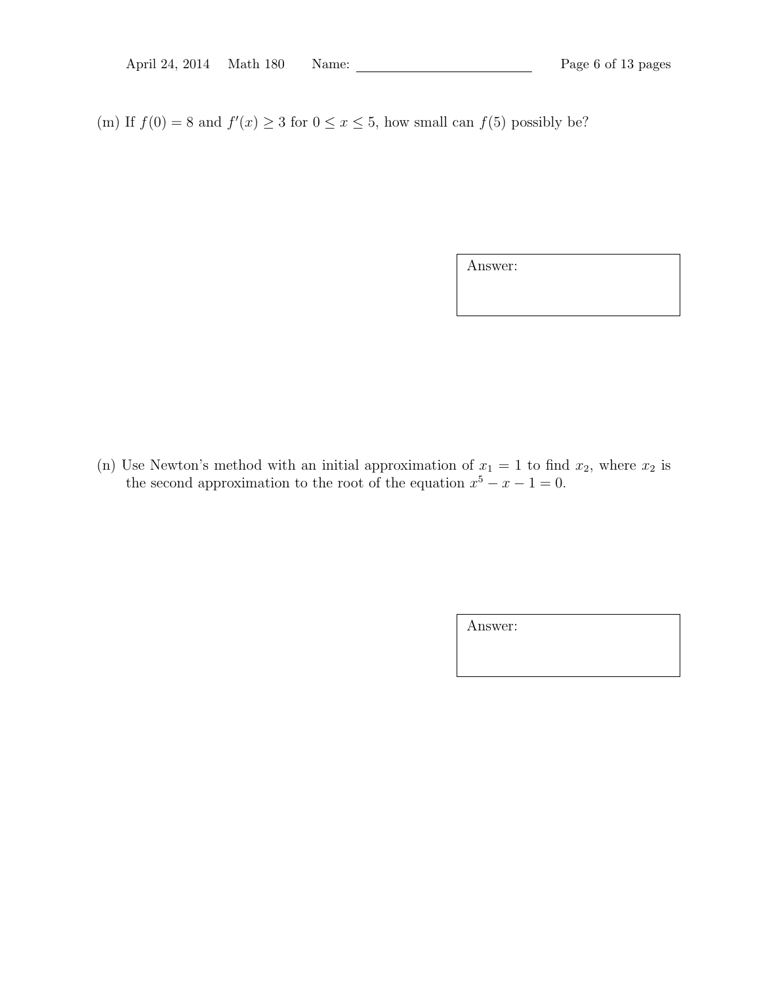(m) If  $f(0) = 8$  and  $f'(x) \ge 3$  for  $0 \le x \le 5$ , how small can  $f(5)$  possibly be?

Answer:

(n) Use Newton's method with an initial approximation of  $x_1 = 1$  to find  $x_2$ , where  $x_2$  is the second approximation to the root of the equation  $x^5 - x - 1 = 0$ .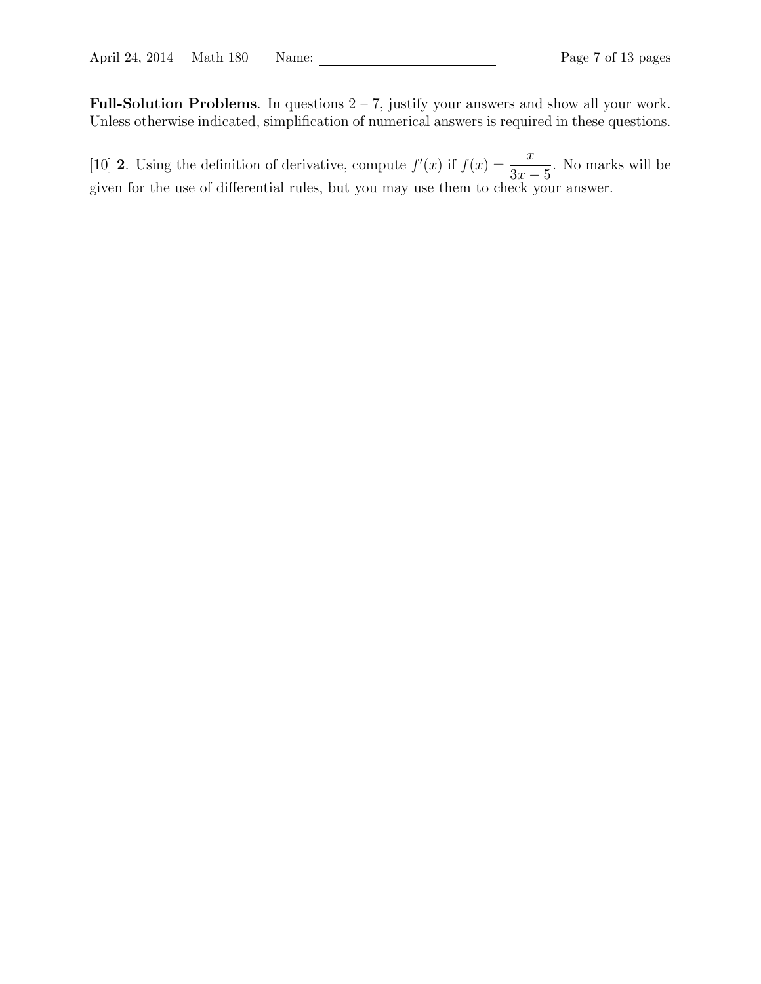**Full-Solution Problems**. In questions 2 – 7, justify your answers and show all your work. Unless otherwise indicated, simplification of numerical answers is required in these questions.

[10] **2**. Using the definition of derivative, compute  $f'(x)$  if  $f(x) = \frac{x}{2}$ 3*x −* 5 . No marks will be given for the use of differential rules, but you may use them to check your answer.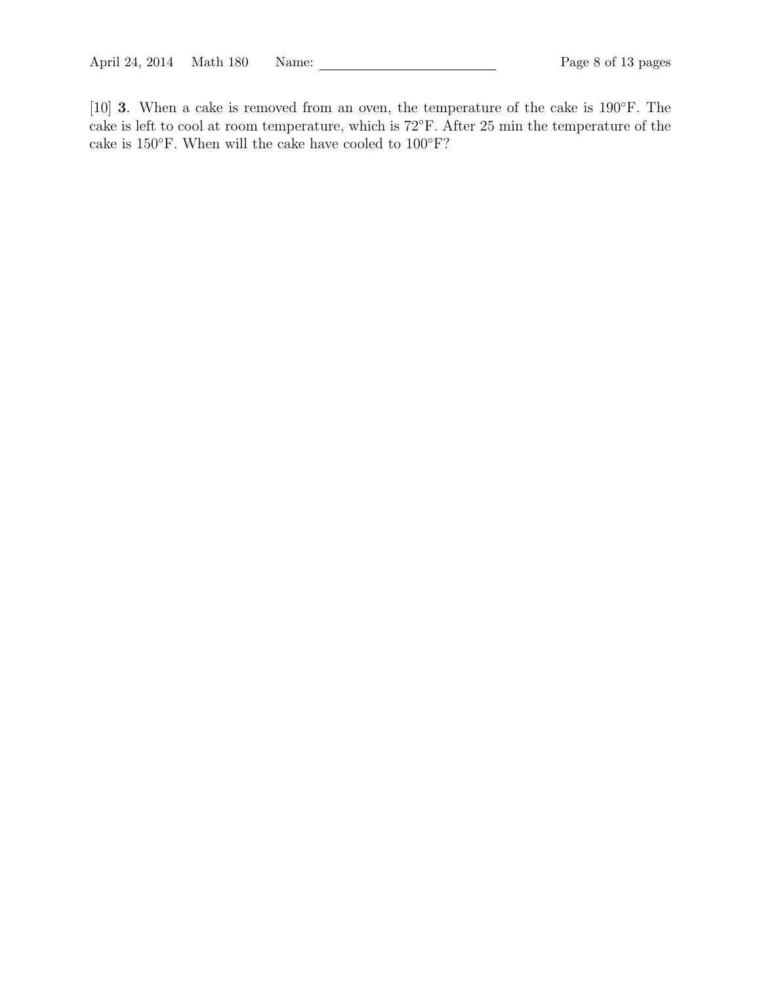[10] **3**. When a cake is removed from an oven, the temperature of the cake is 190*◦*F. The cake is left to cool at room temperature, which is 72*◦*F. After 25 min the temperature of the cake is 150*◦*F. When will the cake have cooled to 100*◦*F?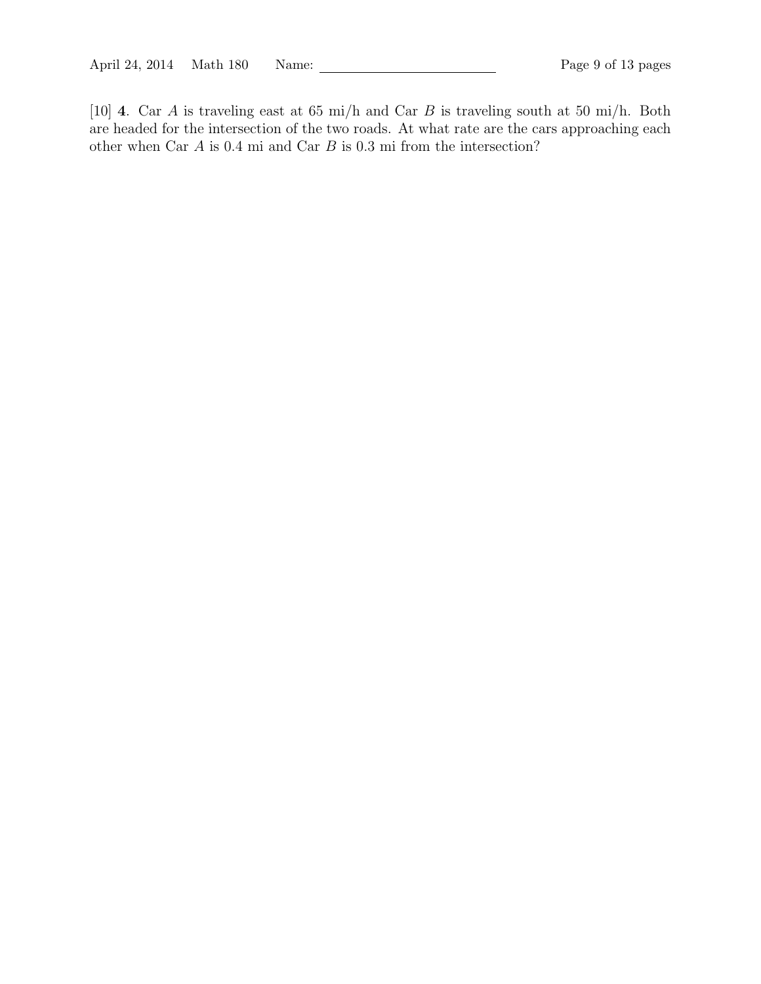[10] **4**. Car *A* is traveling east at 65 mi/h and Car *B* is traveling south at 50 mi/h. Both are headed for the intersection of the two roads. At what rate are the cars approaching each other when Car *A* is 0*.*4 mi and Car *B* is 0*.*3 mi from the intersection?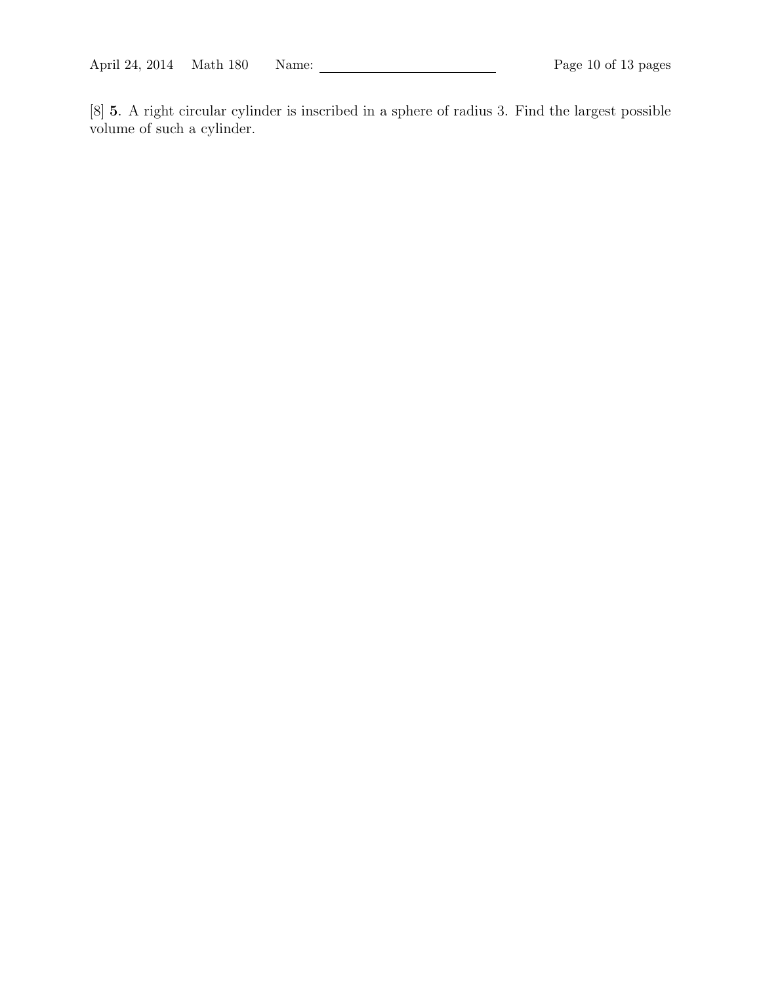[8] **5**. A right circular cylinder is inscribed in a sphere of radius 3. Find the largest possible volume of such a cylinder.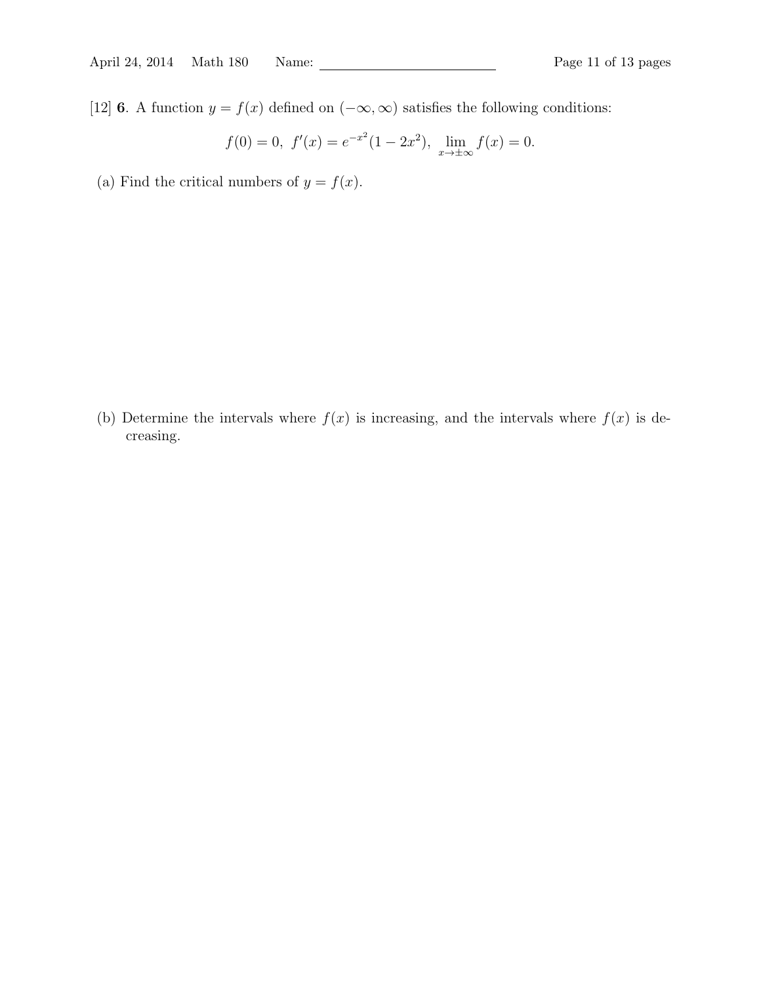[12] **6**. A function  $y = f(x)$  defined on  $(-\infty, \infty)$  satisfies the following conditions:

$$
f(0) = 0
$$
,  $f'(x) = e^{-x^2}(1 - 2x^2)$ ,  $\lim_{x \to \pm \infty} f(x) = 0$ .

(a) Find the critical numbers of  $y = f(x)$ .

(b) Determine the intervals where  $f(x)$  is increasing, and the intervals where  $f(x)$  is decreasing.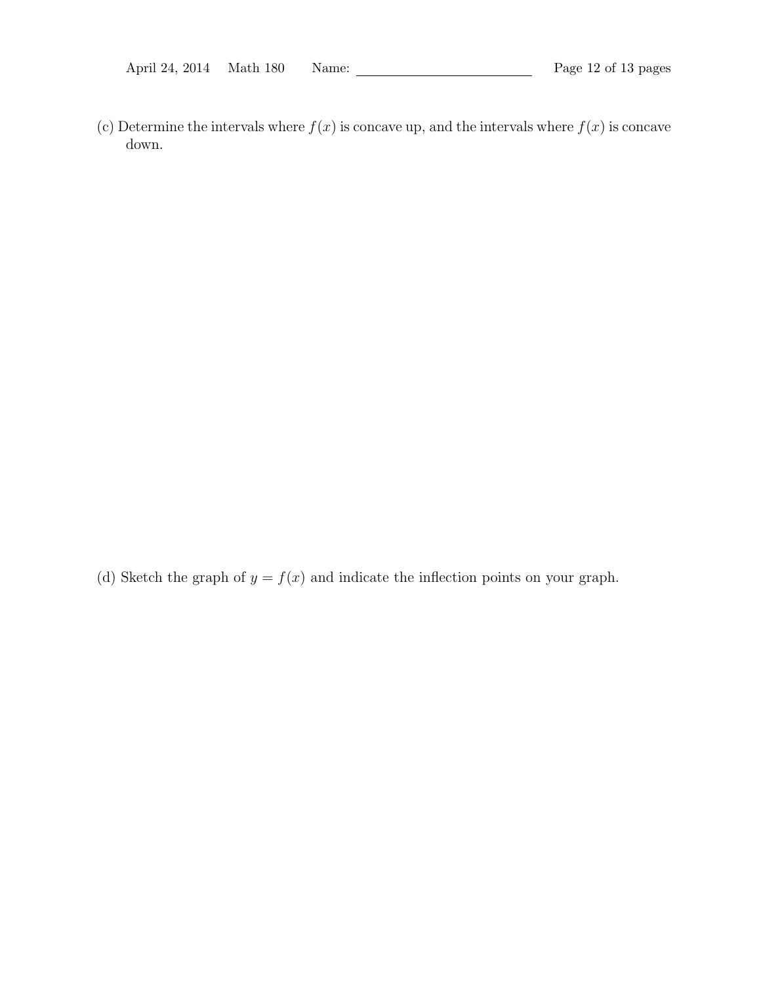(c) Determine the intervals where  $f(x)$  is concave up, and the intervals where  $f(x)$  is concave down.

(d) Sketch the graph of  $y = f(x)$  and indicate the inflection points on your graph.